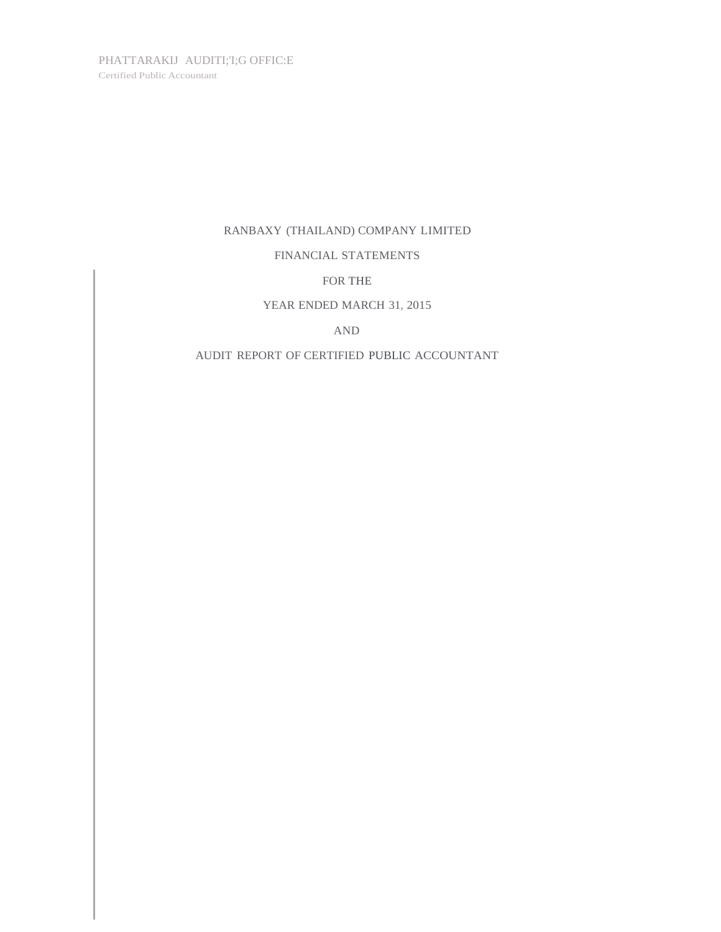PHATTARAKIJ AUDITI;'I;G OFFIC:E Certified Public Accountant

#### RANBAXY (THAILAND) COMPANY LIMITED

## FINANCIAL STATEMENTS

## FOR THE

## YEAR ENDED MARCH 31, 2015

## AND

## AUDIT REPORT OF CERTIFIED PUBLIC ACCOUNTANT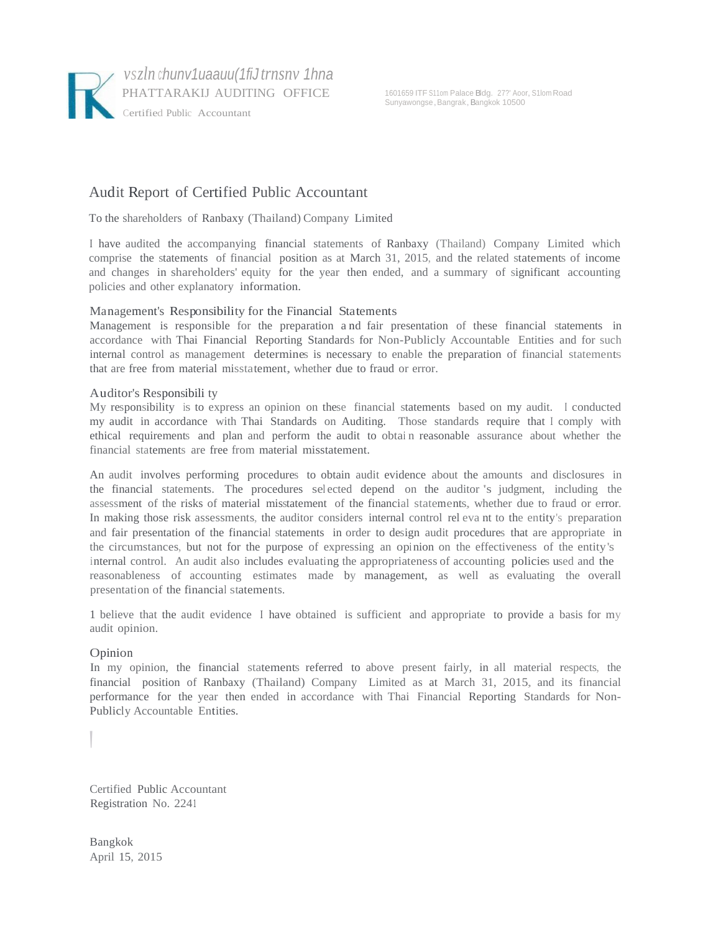

# Audit Report of Certified Public Accountant

To the shareholders of Ranbaxy (Thailand) Company Limited

I have audited the accompanying financial statements of Ranbaxy (Thailand) Company Limited which comprise the statements of financial position as at March 31, 2015, and the related statements of income and changes in shareholders' equity for the year then ended, and a summary of significant accounting policies and other explanatory information.

#### Management's Responsibility for the Financial Statements

Management is responsible for the preparation a nd fair presentation of these financial statements in accordance with Thai Financial Reporting Standards for Non-Publicly Accountable Entities and for such internal control as management determines is necessary to enable the preparation of financial statements that are free from material misstatement, whether due to fraud or error.

#### Auditor's Responsibili ty

My responsibility is to express an opinion on these financial statements based on my audit. I conducted my audit in accordance with Thai Standards on Auditing. Those standards require that I comply with ethical requirements and plan and perform the audit to obtai n reasonable assurance about whether the financial statements are free from material misstatement.

An audit involves performing procedures to obtain audit evidence about the amounts and disclosures in the financial statements. The procedures sel ected depend on the auditor 's judgment, including the assessment of the risks of material misstatement of the financial statements, whether due to fraud or error. In making those risk assessments, the auditor considers internal control rel eva nt to the entity's preparation and fair presentation of the financial statements in order to design audit procedures that are appropriate in the circumstances, but not for the purpose of expressing an opi nion on the effectiveness of the entity's internal control. An audit also includes evaluating the appropriateness of accounting policies used and the reasonableness of accounting estimates made by management, as well as evaluating the overall presentation of the financial statements.

1 believe that the audit evidence I have obtained is sufficient and appropriate to provide a basis for my audit opinion.

#### Opinion

In my opinion, the financial statements referred to above present fairly, in all material respects, the financial position of Ranbaxy (Thailand) Company Limited as at March 31, 2015, and its financial performance for the year then ended in accordance with Thai Financial Reporting Standards for Non-Publicly Accountable Entities.

Certified Public Accountant Registration No. 2241

Bangkok April 15, 2015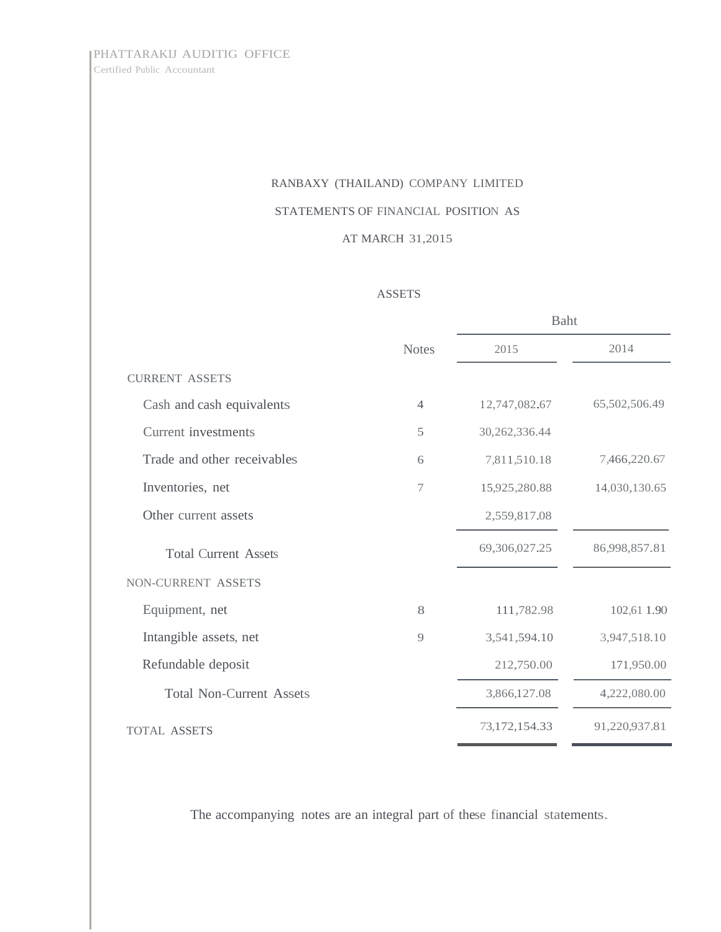# RANBAXY (THAILAND) COMPANY LIMITED

## STATEMENTS OF FINANCIAL POSITION AS

#### AT MARCH 31,2015

## ASSETS

|                                 |                | <b>Baht</b>      |               |
|---------------------------------|----------------|------------------|---------------|
|                                 | <b>Notes</b>   | 2015             | 2014          |
| <b>CURRENT ASSETS</b>           |                |                  |               |
| Cash and cash equivalents       | $\overline{4}$ | 12,747,082.67    | 65,502,506.49 |
| <b>Current</b> investments      | 5              | 30,262,336.44    |               |
| Trade and other receivables     | 6              | 7,811,510.18     | 7,466,220.67  |
| Inventories, net                | 7              | 15,925,280.88    | 14,030,130.65 |
| Other current assets            |                | 2,559,817.08     |               |
| <b>Total Current Assets</b>     |                | 69,306,027.25    | 86,998,857.81 |
| NON-CURRENT ASSETS              |                |                  |               |
| Equipment, net                  | 8              | 111,782.98       | 102,61 1.90   |
| Intangible assets, net          | 9              | 3,541,594.10     | 3,947,518.10  |
| Refundable deposit              |                | 212,750.00       | 171,950.00    |
| <b>Total Non-Current Assets</b> |                | 3,866,127.08     | 4,222,080.00  |
| <b>TOTAL ASSETS</b>             |                | 73, 172, 154. 33 | 91,220,937.81 |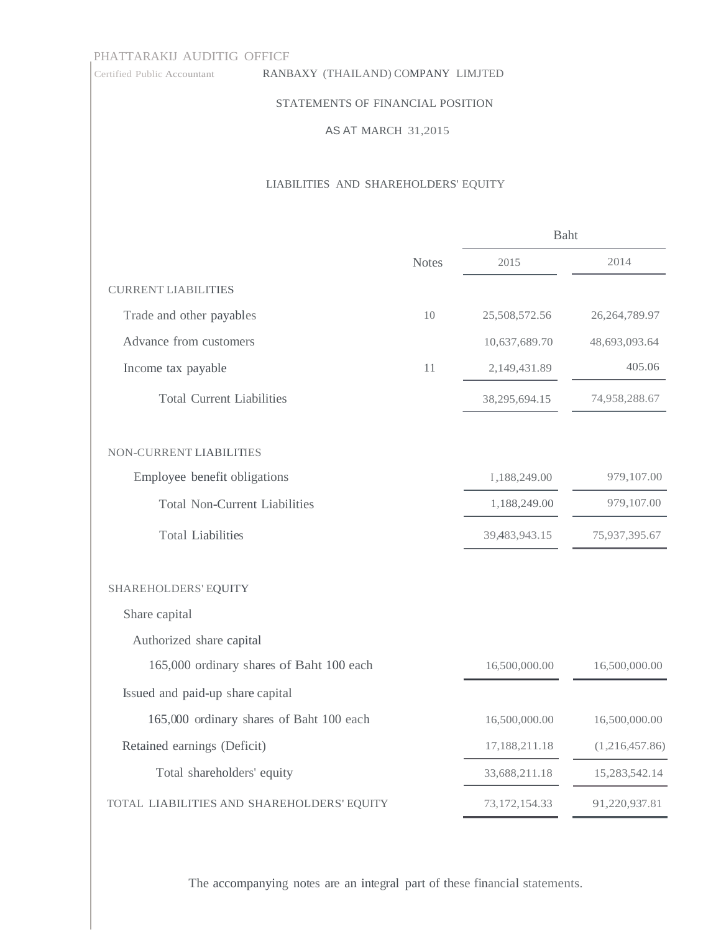#### PHATTARAKIJ AUDITIG OFFICF

Certified Public Accountant RANBAXY (THAILAND) COMPANY LIMJTED

#### STATEMENTS OF FINANCIAL POSITION

## AS AT MARCH 31,2015

### LIABILITIES AND SHAREHOLDERS' EQUITY

|                                            |              | <b>Baht</b>     |                  |  |
|--------------------------------------------|--------------|-----------------|------------------|--|
|                                            | <b>Notes</b> | 2015            | 2014             |  |
| <b>CURRENT LIABILITIES</b>                 |              |                 |                  |  |
| Trade and other payables                   | 10           | 25,508,572.56   | 26, 264, 789. 97 |  |
| Advance from customers                     |              | 10,637,689.70   | 48,693,093.64    |  |
| Income tax payable                         | 11           | 2,149,431.89    | 405.06           |  |
| <b>Total Current Liabilities</b>           |              | 38,295,694.15   | 74,958,288.67    |  |
| <b>NON-CURRENT LIABILITIES</b>             |              |                 |                  |  |
| Employee benefit obligations               |              | I,188,249.00    | 979,107.00       |  |
| <b>Total Non-Current Liabilities</b>       |              | 1,188,249.00    | 979,107.00       |  |
| <b>Total Liabilities</b>                   |              | 39,483,943.15   | 75,937,395.67    |  |
| SHAREHOLDERS' EQUITY                       |              |                 |                  |  |
| Share capital                              |              |                 |                  |  |
| Authorized share capital                   |              |                 |                  |  |
| 165,000 ordinary shares of Baht 100 each   |              | 16,500,000.00   | 16,500,000.00    |  |
| Issued and paid-up share capital           |              |                 |                  |  |
| 165,000 ordinary shares of Baht 100 each   |              | 16,500,000.00   | 16,500,000.00    |  |
| Retained earnings (Deficit)                |              | 17,188,211.18   | (1,216,457.86)   |  |
| Total shareholders' equity                 |              | 33,688,211.18   | 15,283,542.14    |  |
| TOTAL LIABILITIES AND SHAREHOLDERS' EQUITY |              | 73, 172, 154.33 | 91,220,937.81    |  |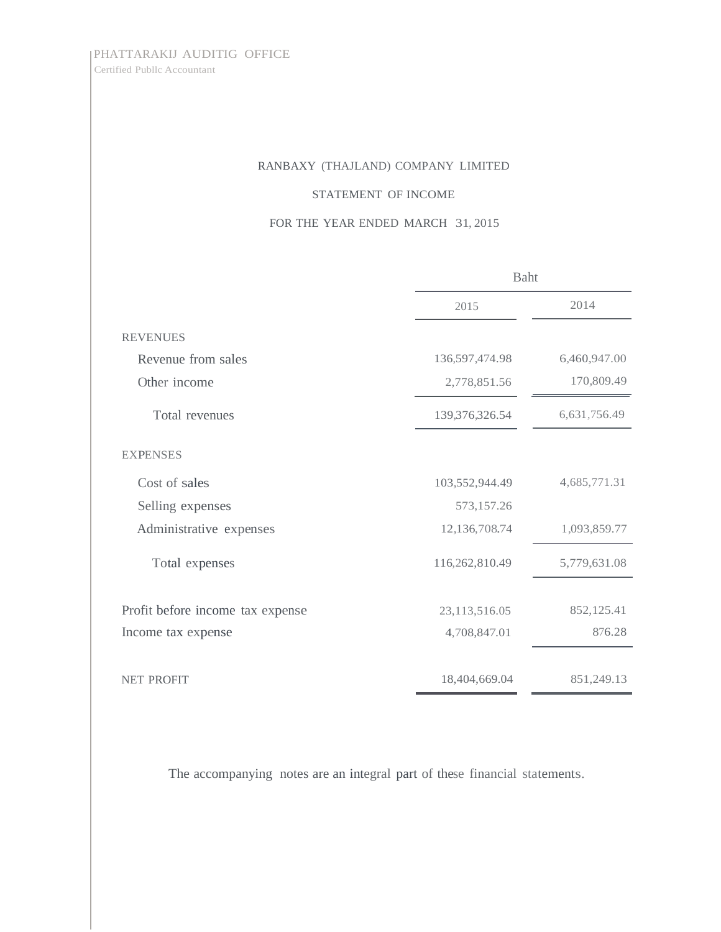## RANBAXY (THAJLAND) COMPANY LIMITED

## STATEMENT OF INCOME

## FOR THE YEAR ENDED MARCH 31, 2015

|                                  | Baht           |              |  |
|----------------------------------|----------------|--------------|--|
|                                  | 2015           | 2014         |  |
| <b>REVENUES</b>                  |                |              |  |
| Revenue from sales               | 136,597,474.98 | 6,460,947.00 |  |
| Other income                     | 2,778,851.56   | 170,809.49   |  |
| Total revenues                   | 139,376,326.54 | 6,631,756.49 |  |
| <b>EXPENSES</b>                  |                |              |  |
| Cost of sales                    | 103,552,944.49 | 4,685,771.31 |  |
| Selling expenses                 | 573,157.26     |              |  |
| Administrative expenses          | 12,136,708.74  | 1,093,859.77 |  |
| Total expenses                   | 116,262,810.49 | 5,779,631.08 |  |
| Profit before income tax expense | 23,113,516.05  | 852,125.41   |  |
| Income tax expense               | 4,708,847.01   | 876.28       |  |
| <b>NET PROFIT</b>                | 18,404,669.04  | 851,249.13   |  |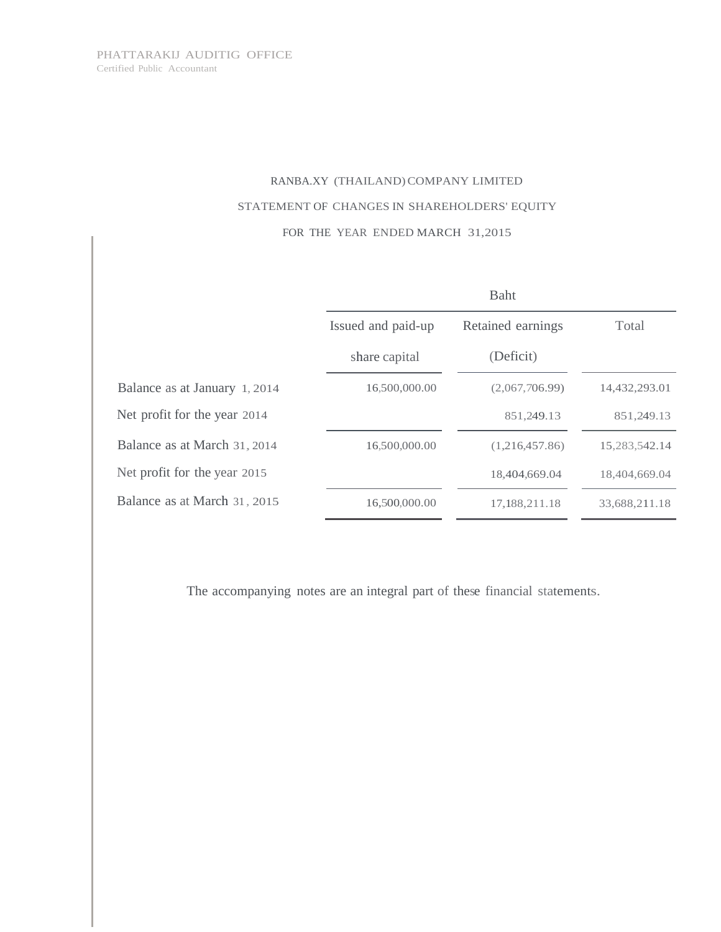# RANBA.XY (THAILAND) COMPANY LIMITED STATEMENT OF CHANGES IN SHAREHOLDERS' EQUITY FOR THE YEAR ENDED MARCH 31,2015

|                               | <b>Baht</b>                             |                  |               |  |
|-------------------------------|-----------------------------------------|------------------|---------------|--|
|                               | Issued and paid-up<br>Retained earnings |                  | Total         |  |
|                               | share capital                           | (Deficit)        |               |  |
| Balance as at January 1, 2014 | 16,500,000.00                           | (2,067,706.99)   | 14,432,293.01 |  |
| Net profit for the year 2014  |                                         | 851,249.13       | 851,249.13    |  |
| Balance as at March 31, 2014  | 16,500,000.00                           | (1,216,457.86)   | 15,283,542.14 |  |
| Net profit for the year 2015  |                                         | 18,404,669.04    | 18,404,669.04 |  |
| Balance as at March 31, 2015  | 16,500,000.00                           | 17, 188, 211. 18 | 33,688,211.18 |  |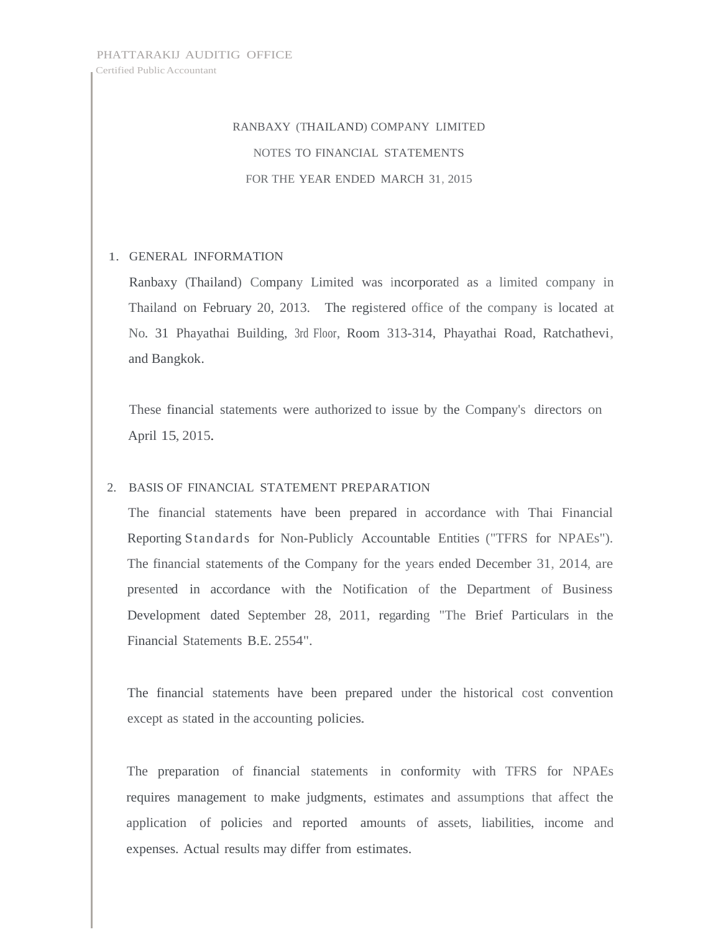# RANBAXY (THAILAND) COMPANY LIMITED NOTES TO FINANCIAL STATEMENTS FOR THE YEAR ENDED MARCH 31, 2015

## 1. GENERAL INFORMATION

Ranbaxy (Thailand) Company Limited was incorporated as a limited company in Thailand on February 20, 2013. The registered office of the company is located at No. 31 Phayathai Building, 3rd Floor, Room 313-314, Phayathai Road, Ratchathevi, and Bangkok.

These financial statements were authorized to issue by the Company's directors on April 15, 2015.

## 2. BASIS OF FINANCIAL STATEMENT PREPARATION

The financial statements have been prepared in accordance with Thai Financial Reporting Standards for Non-Publicly Accountable Entities ("TFRS for NPAEs"). The financial statements of the Company for the years ended December 31, 2014, are presented in accordance with the Notification of the Department of Business Development dated September 28, 2011, regarding "The Brief Particulars in the Financial Statements B.E. 2554".

The financial statements have been prepared under the historical cost convention except as stated in the accounting policies.

The preparation of financial statements in conformity with TFRS for NPAEs requires management to make judgments, estimates and assumptions that affect the application of policies and reported amounts of assets, liabilities, income and expenses. Actual results may differ from estimates.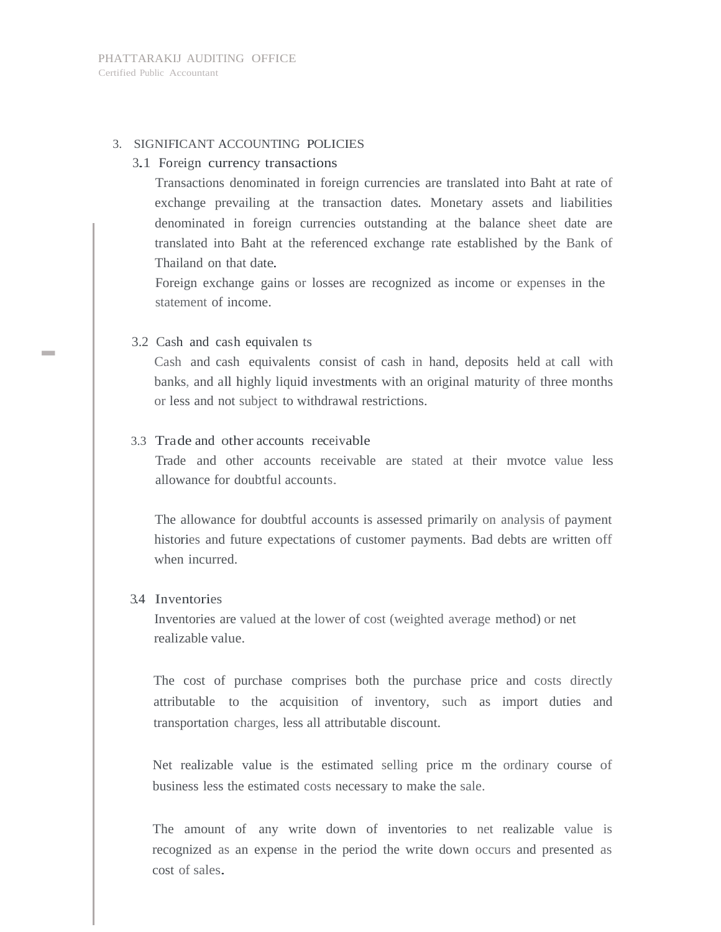#### 3. SIGNIFICANT ACCOUNTING POLICIES

#### 3.1 Foreign currency transactions

Transactions denominated in foreign currencies are translated into Baht at rate of exchange prevailing at the transaction dates. Monetary assets and liabilities denominated in foreign currencies outstanding at the balance sheet date are translated into Baht at the referenced exchange rate established by the Bank of Thailand on that date.

Foreign exchange gains or losses are recognized as income or expenses in the statement of income.

#### 3.2 Cash and cash equivalen ts

-

Cash and cash equivalents consist of cash in hand, deposits held at call with banks, and all highly liquid investments with an original maturity of three months or less and not subject to withdrawal restrictions.

## 3.3 Trade and other accounts receivable

Trade and other accounts receivable are stated at their mvotce value less allowance for doubtful accounts.

The allowance for doubtful accounts is assessed primarily on analysis of payment histories and future expectations of customer payments. Bad debts are written off when incurred.

## 3.4 Inventories

Inventories are valued at the lower of cost (weighted average method) or net realizable value.

The cost of purchase comprises both the purchase price and costs directly attributable to the acquisition of inventory, such as import duties and transportation charges, less all attributable discount.

Net realizable value is the estimated selling price m the ordinary course of business less the estimated costs necessary to make the sale.

The amount of any write down of inventories to net realizable value is recognized as an expense in the period the write down occurs and presented as cost of sales.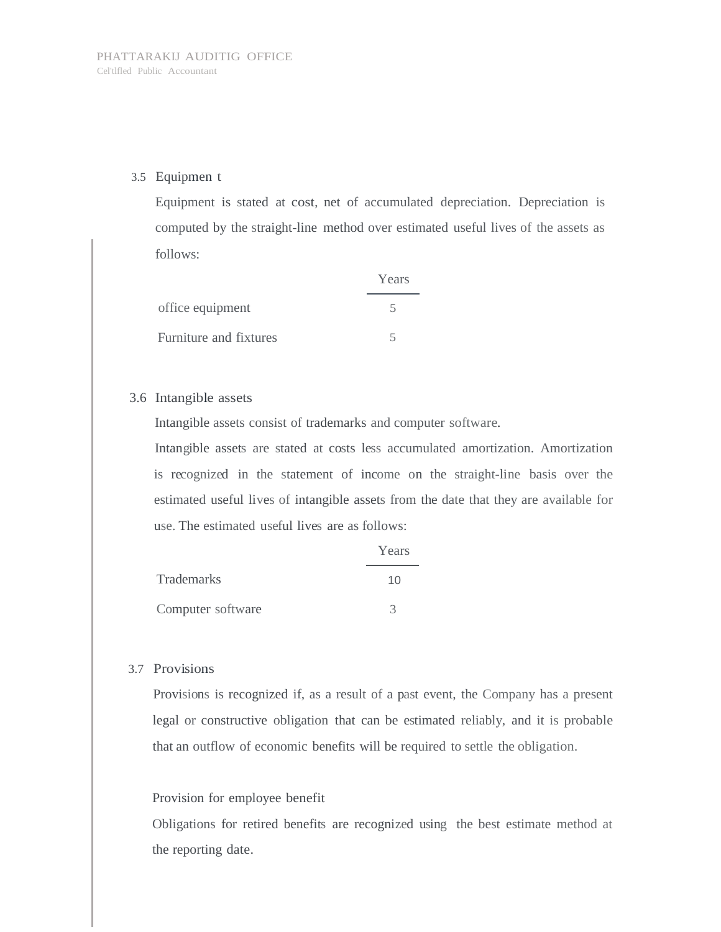#### 3.5 Equipmen t

Equipment is stated at cost, net of accumulated depreciation. Depreciation is computed by the straight-line method over estimated useful lives of the assets as follows:

|                        | Years |
|------------------------|-------|
| office equipment       |       |
| Furniture and fixtures |       |

#### 3.6 Intangible assets

Intangible assets consist of trademarks and computer software.

Intangible assets are stated at costs less accumulated amortization. Amortization is recognized in the statement of income on the straight-line basis over the estimated useful lives of intangible assets from the date that they are available for use. The estimated useful lives are as follows:

|                   | Years |
|-------------------|-------|
| <b>Trademarks</b> | 10    |
| Computer software |       |

## 3.7 Provisions

Provisions is recognized if, as a result of a past event, the Company has a present legal or constructive obligation that can be estimated reliably, and it is probable that an outflow of economic benefits will be required to settle the obligation.

#### Provision for employee benefit

Obligations for retired benefits are recognized using the best estimate method at the reporting date.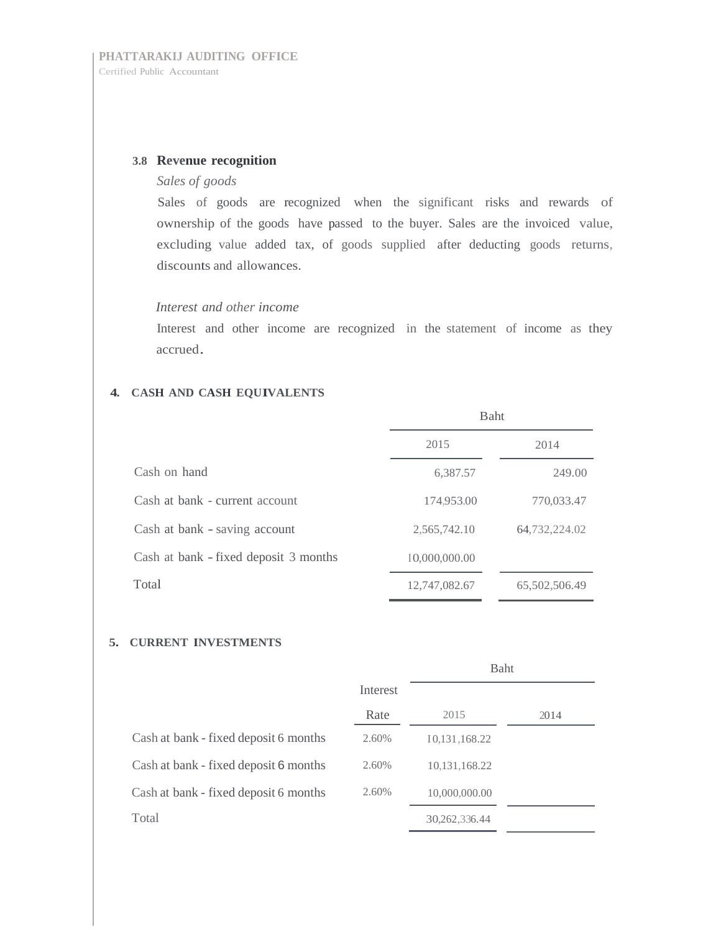#### **3.8 Revenue recognition**

## *Sales of goods*

Sales of goods are recognized when the significant risks and rewards of ownership of the goods have passed to the buyer. Sales are the invoiced value, excluding value added tax, of goods supplied after deducting goods returns, discounts and allowances.

## *Interest and other income*

Interest and other income are recognized in the statement of income as they accrued.

#### **4. CASH AND CASH EQUIVALENTS**

|                                       | <b>Baht</b>   |               |  |
|---------------------------------------|---------------|---------------|--|
|                                       | 2015          | 2014          |  |
| Cash on hand                          | 6,387.57      | 249.00        |  |
| Cash at bank - current account        | 174,953.00    | 770,033.47    |  |
| Cash at bank - saving account         | 2,565,742.10  | 64,732,224.02 |  |
| Cash at bank - fixed deposit 3 months | 10,000,000.00 |               |  |
| Total                                 | 12,747,082.67 | 65,502,506.49 |  |

## **5. CURRENT INVESTMENTS**

|                                       |          | Baht          |      |  |
|---------------------------------------|----------|---------------|------|--|
|                                       | Interest |               |      |  |
|                                       | Rate     | 2015          | 2014 |  |
| Cash at bank - fixed deposit 6 months | 2.60%    | 10,131,168.22 |      |  |
| Cash at bank - fixed deposit 6 months | 2.60%    | 10,131,168.22 |      |  |
| Cash at bank - fixed deposit 6 months | 2.60%    | 10,000,000.00 |      |  |
| Total                                 |          | 30,262,336.44 |      |  |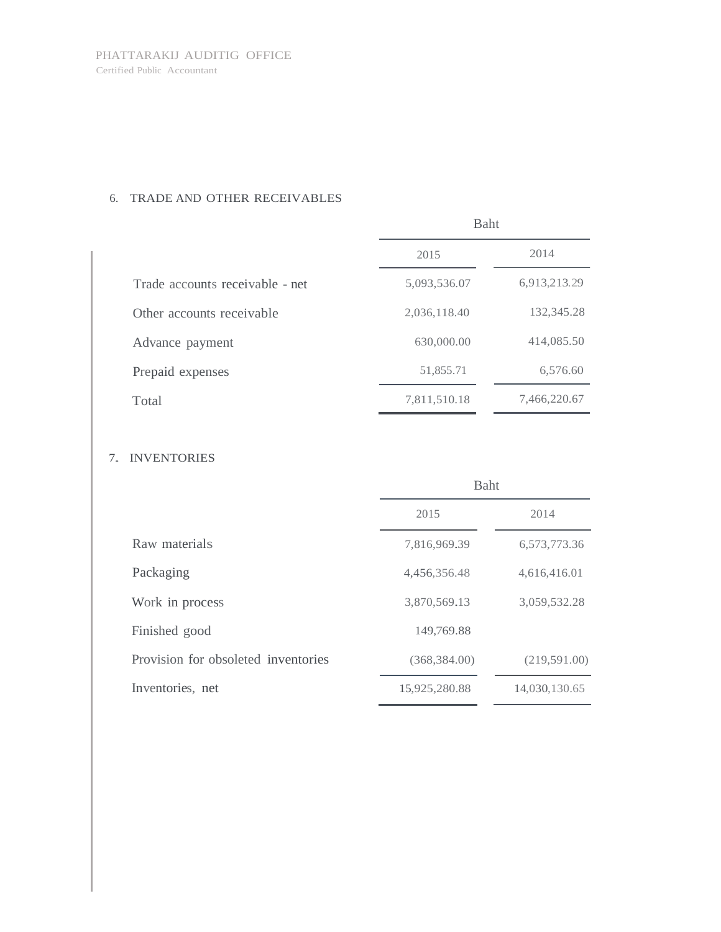## 6. TRADE AND OTHER RECEIVABLES

|                                 | <b>Baht</b>  |              |  |
|---------------------------------|--------------|--------------|--|
|                                 | 2015         | 2014         |  |
| Trade accounts receivable - net | 5,093,536.07 | 6,913,213.29 |  |
| Other accounts receivable       | 2,036,118.40 | 132, 345. 28 |  |
| Advance payment                 | 630,000.00   | 414,085.50   |  |
| Prepaid expenses                | 51,855.71    | 6,576.60     |  |
| Total                           | 7,811,510.18 | 7,466,220.67 |  |

# 7. INVENTORIES

|                                     | <b>Baht</b>   |               |  |
|-------------------------------------|---------------|---------------|--|
|                                     | 2015          | 2014          |  |
| Raw materials                       | 7,816,969.39  | 6,573,773.36  |  |
| Packaging                           | 4,456,356.48  | 4,616,416.01  |  |
| Work in process                     | 3,870,569.13  | 3,059,532.28  |  |
| Finished good                       | 149,769.88    |               |  |
| Provision for obsoleted inventories | (368, 384.00) | (219, 591.00) |  |
| Inventories, net                    | 15,925,280.88 | 14,030,130.65 |  |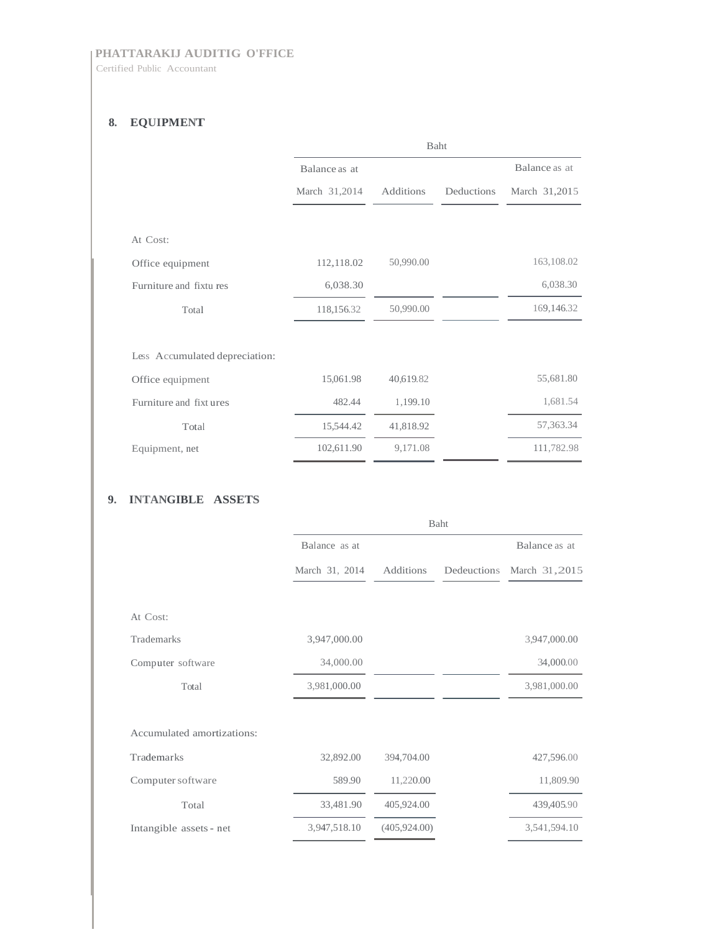#### **PHATTARAKIJ AUDITIG O'FFICE**

Certified Public Accountant

# **8. EQUIPMENT**

|                                | Baht          |                  |            |               |
|--------------------------------|---------------|------------------|------------|---------------|
|                                | Balance as at |                  |            | Balance as at |
|                                | March 31,2014 | <b>Additions</b> | Deductions | March 31,2015 |
|                                |               |                  |            |               |
| At Cost:                       |               |                  |            |               |
| Office equipment               | 112,118.02    | 50,990.00        |            | 163,108.02    |
| Furniture and fixtu res        | 6,038.30      |                  |            | 6,038.30      |
| Total                          | 118,156.32    | 50,990.00        |            | 169,146.32    |
|                                |               |                  |            |               |
| Less Accumulated depreciation: |               |                  |            |               |
| Office equipment               | 15,061.98     | 40,619.82        |            | 55,681.80     |
| Furniture and fixt ures        | 482.44        | 1,199.10         |            | 1,681.54      |
| Total                          | 15,544.42     | 41,818.92        |            | 57,363.34     |
| Equipment, net                 | 102,611.90    | 9,171.08         |            | 111,782.98    |
|                                |               |                  |            |               |

# **9. INTANGIBLE ASSETS**

|                            | Baht           |                  |             |                |
|----------------------------|----------------|------------------|-------------|----------------|
|                            | Balance as at  |                  |             | Balance as at  |
|                            | March 31, 2014 | <b>Additions</b> | Dedeuctions | March 31, 2015 |
|                            |                |                  |             |                |
| At Cost:                   |                |                  |             |                |
| Trademarks                 | 3,947,000.00   |                  |             | 3,947,000.00   |
| Computer software          | 34,000.00      |                  |             | 34,000.00      |
| Total                      | 3,981,000.00   |                  |             | 3,981,000.00   |
| Accumulated amortizations: |                |                  |             |                |
| Trademarks                 | 32,892.00      | 394,704.00       |             | 427,596.00     |
| Computer software          | 589.90         | 11,220.00        |             | 11,809.90      |
| Total                      | 33,481.90      | 405,924.00       |             | 439,405.90     |
| Intangible assets - net    | 3,947,518.10   | (405, 924.00)    |             | 3,541,594.10   |
|                            |                |                  |             |                |